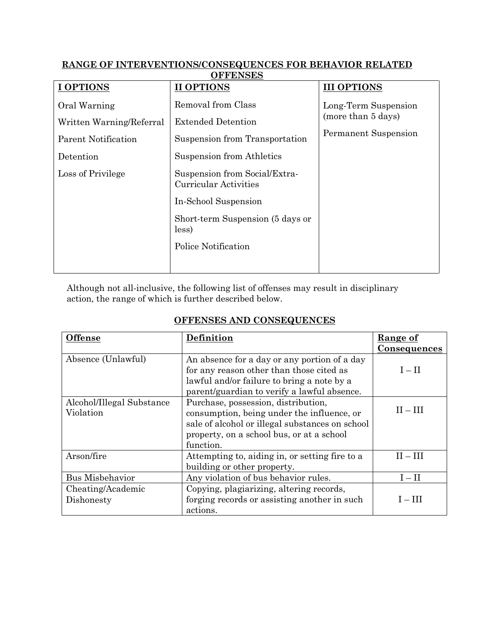## **RANGE OF INTERVENTIONS/CONSEQUENCES FOR BEHAVIOR RELATED OFFENSES**

| <b>I OPTIONS</b>           | <b>II OPTIONS</b>                                             | <b>III OPTIONS</b>                                                        |
|----------------------------|---------------------------------------------------------------|---------------------------------------------------------------------------|
| Oral Warning               | Removal from Class                                            | Long-Term Suspension<br>(more than 5 days)<br><b>Permanent Suspension</b> |
| Written Warning/Referral   | <b>Extended Detention</b>                                     |                                                                           |
| <b>Parent Notification</b> | Suspension from Transportation                                |                                                                           |
| Detention                  | Suspension from Athletics                                     |                                                                           |
| Loss of Privilege          | Suspension from Social/Extra-<br><b>Curricular Activities</b> |                                                                           |
|                            | In-School Suspension                                          |                                                                           |
|                            | Short-term Suspension (5 days or<br>less)                     |                                                                           |
|                            | Police Notification                                           |                                                                           |
|                            |                                                               |                                                                           |

Although not all-inclusive, the following list of offenses may result in disciplinary action, the range of which is further described below.

## **OFFENSES AND CONSEQUENCES**

| <b>Offense</b>            | Definition                                      | Range of            |
|---------------------------|-------------------------------------------------|---------------------|
|                           |                                                 |                     |
|                           |                                                 | <u>Consequences</u> |
| Absence (Unlawful)        | An absence for a day or any portion of a day    |                     |
|                           | for any reason other than those cited as        | $I-II$              |
|                           | lawful and/or failure to bring a note by a      |                     |
|                           | parent/guardian to verify a lawful absence.     |                     |
| Alcohol/Illegal Substance | Purchase, possession, distribution,             |                     |
| Violation                 | consumption, being under the influence, or      | $II - III$          |
|                           | sale of alcohol or illegal substances on school |                     |
|                           | property, on a school bus, or at a school       |                     |
|                           | function.                                       |                     |
| Arson/fire                | Attempting to, aiding in, or setting fire to a  | $II - III$          |
|                           | building or other property.                     |                     |
| <b>Bus Misbehavior</b>    | Any violation of bus behavior rules.            | $I - II$            |
| Cheating/Academic         | Copying, plagiarizing, altering records,        |                     |
| Dishonesty                | forging records or assisting another in such    | $I-III$             |
|                           | actions.                                        |                     |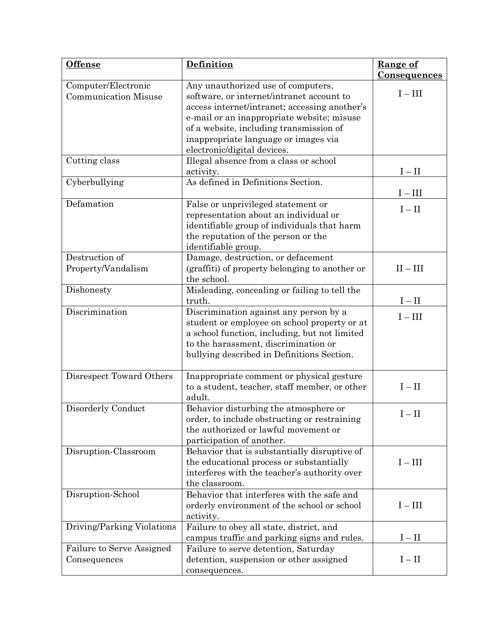| <b>Offense</b>                                     | Definition                                                                                    | Range of<br><u>Consequences</u> |
|----------------------------------------------------|-----------------------------------------------------------------------------------------------|---------------------------------|
| Computer/Electronic<br><b>Communication Misuse</b> | Any unauthorized use of computers,<br>software, or internet/intranet account to               | $I - III$                       |
|                                                    | access internet/intranet; accessing another's<br>e-mail or an inappropriate website; misuse   |                                 |
|                                                    | of a website, including transmission of<br>inappropriate language or images via               |                                 |
| Cutting class                                      | electronic/digital devices.<br>Illegal absence from a class or school                         |                                 |
|                                                    | activity.                                                                                     | $I - II$                        |
| Cyberbullying                                      | As defined in Definitions Section.                                                            | $I - III$                       |
| Defamation                                         | False or unprivileged statement or<br>representation about an individual or                   | $I - II$                        |
|                                                    | identifiable group of individuals that harm                                                   |                                 |
|                                                    | the reputation of the person or the<br>identifiable group.                                    |                                 |
| Destruction of                                     | Damage, destruction, or defacement                                                            |                                 |
| Property/Vandalism                                 | (graffiti) of property belonging to another or<br>the school.                                 | $II - III$                      |
| Dishonesty                                         | Misleading, concealing or failing to tell the<br>truth.                                       |                                 |
| Discrimination                                     | Discrimination against any person by a                                                        | $I - II$<br>$I - III$           |
|                                                    | student or employee on school property or at<br>a school function, including, but not limited |                                 |
|                                                    | to the harassment, discrimination or                                                          |                                 |
|                                                    | bullying described in Definitions Section.                                                    |                                 |
| Disrespect Toward Others                           | Inappropriate comment or physical gesture                                                     |                                 |
|                                                    | to a student, teacher, staff member, or other<br>adult.                                       | $I - II$                        |
| Disorderly Conduct                                 | Behavior disturbing the atmosphere or<br>order, to include obstructing or restraining         | $I - II$                        |
|                                                    | the authorized or lawful movement or                                                          |                                 |
|                                                    | participation of another.                                                                     |                                 |
| Disruption-Classroom                               | Behavior that is substantially disruptive of<br>the educational process or substantially      | $I - III$                       |
|                                                    | interferes with the teacher's authority over                                                  |                                 |
|                                                    | the classroom.                                                                                |                                 |
| Disruption-School                                  | Behavior that interferes with the safe and                                                    |                                 |
|                                                    | orderly environment of the school or school<br>activity.                                      | $I - III$                       |
| Driving/Parking Violations                         | Failure to obey all state, district, and                                                      |                                 |
|                                                    | campus traffic and parking signs and rules.                                                   | $I - II$                        |
| Failure to Serve Assigned<br>Consequences          | Failure to serve detention, Saturday<br>detention, suspension or other assigned               | $I - II$                        |
|                                                    | consequences.                                                                                 |                                 |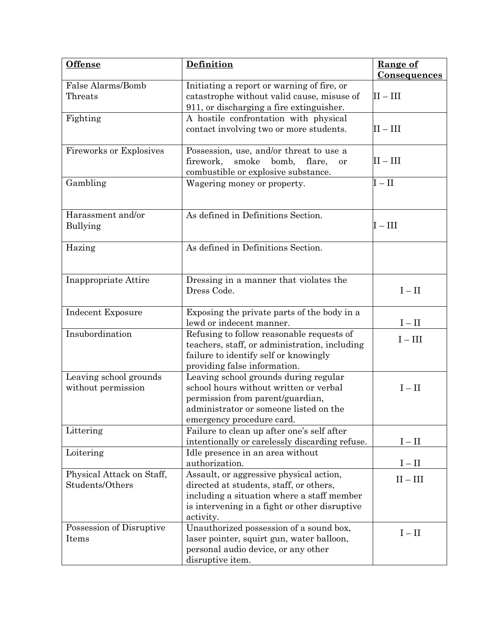| <b>Offense</b>                               | Definition                                                                                                                                                                                     | Range of<br>Consequences |
|----------------------------------------------|------------------------------------------------------------------------------------------------------------------------------------------------------------------------------------------------|--------------------------|
| False Alarms/Bomb<br>Threats                 | Initiating a report or warning of fire, or<br>catastrophe without valid cause, misuse of<br>911, or discharging a fire extinguisher.                                                           | $II - III$               |
| Fighting                                     | A hostile confrontation with physical<br>contact involving two or more students.                                                                                                               | $\rm II-III$             |
| <b>Fireworks or Explosives</b>               | Possession, use, and/or threat to use a<br>smoke<br>bomb, flare,<br>firework,<br><b>or</b><br>combustible or explosive substance.                                                              | $II - III$               |
| Gambling                                     | Wagering money or property.                                                                                                                                                                    | $I - II$                 |
| Harassment and/or<br>Bullying                | As defined in Definitions Section.                                                                                                                                                             | $I - III$                |
| Hazing                                       | As defined in Definitions Section.                                                                                                                                                             |                          |
| Inappropriate Attire                         | Dressing in a manner that violates the<br>Dress Code.                                                                                                                                          | $I - II$                 |
| Indecent Exposure                            | Exposing the private parts of the body in a<br>lewd or indecent manner.                                                                                                                        | $I - II$                 |
| Insubordination                              | Refusing to follow reasonable requests of<br>teachers, staff, or administration, including<br>failure to identify self or knowingly<br>providing false information.                            | $I - III$                |
| Leaving school grounds<br>without permission | Leaving school grounds during regular<br>school hours without written or verbal<br>permission from parent/guardian,<br>administrator or someone listed on the<br>emergency procedure card.     | $I - II$                 |
| Littering                                    | Failure to clean up after one's self after<br>intentionally or carelessly discarding refuse.                                                                                                   | $I - II$                 |
| Loitering                                    | Idle presence in an area without<br>authorization.                                                                                                                                             | $I - II$                 |
| Physical Attack on Staff,<br>Students/Others | Assault, or aggressive physical action,<br>directed at students, staff, or others,<br>including a situation where a staff member<br>is intervening in a fight or other disruptive<br>activity. | $\rm II-III$             |
| Possession of Disruptive<br>Items            | Unauthorized possession of a sound box,<br>laser pointer, squirt gun, water balloon,<br>personal audio device, or any other<br>disruptive item.                                                | $I - II$                 |